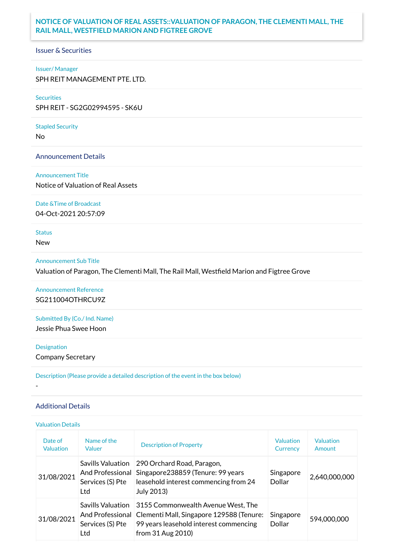## **NOTICE OF VALUATION OF REAL ASSETS::VALUATION OF PARAGON, THE CLEMENTI MALL, THE RAIL MALL, WESTFIELD MARION AND FIGTREE GROVE**

Issuer & Securities

#### Issuer/ Manager

SPH REIT MANAGEMENT PTE. LTD.

#### **Securities**

SPH REIT - SG2G02994595 - SK6U

# Stapled Security

No

#### Announcement Details

#### Announcement Title

Notice of Valuation of Real Assets

#### Date &Time of Broadcast

04-Oct-2021 20:57:09

# **Status**

New

#### Announcement Sub Title

Valuation of Paragon, The Clementi Mall, The Rail Mall, Westfield Marion and Figtree Grove

Announcement Reference SG211004OTHRCU9Z

Submitted By (Co./ Ind. Name)

Jessie Phua Swee Hoon

#### Designation

-

Company Secretary

Description (Please provide a detailed description of the event in the box below)

### Additional Details

#### Valuation Details

| Date of<br><b>Valuation</b> | Name of the<br>Valuer                               | <b>Description of Property</b>                                                                                                                                        | Valuation<br>Currency | Valuation<br>Amount |
|-----------------------------|-----------------------------------------------------|-----------------------------------------------------------------------------------------------------------------------------------------------------------------------|-----------------------|---------------------|
| 31/08/2021                  | <b>Savills Valuation</b><br>Services (S) Pte<br>Ltd | 290 Orchard Road, Paragon,<br>And Professional Singapore 238859 (Tenure: 99 years<br>leasehold interest commencing from 24<br>July 2013)                              | Singapore<br>Dollar   | 2,640,000,000       |
| 31/08/2021                  | <b>Savills Valuation</b><br>Services (S) Pte<br>Ltd | 3155 Commonwealth Avenue West, The<br>And Professional   Clementi Mall, Singapore 129588 (Tenure:<br>99 years leasehold interest commencing<br>from $31$ Aug $2010$ ) | Singapore<br>Dollar   | 594,000,000         |